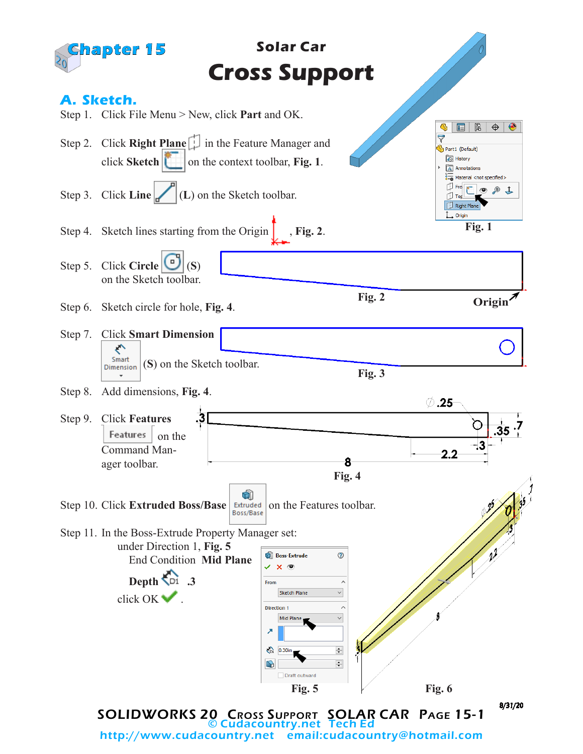

http://www.cudacountry.net email:cudacountry@hotmail.com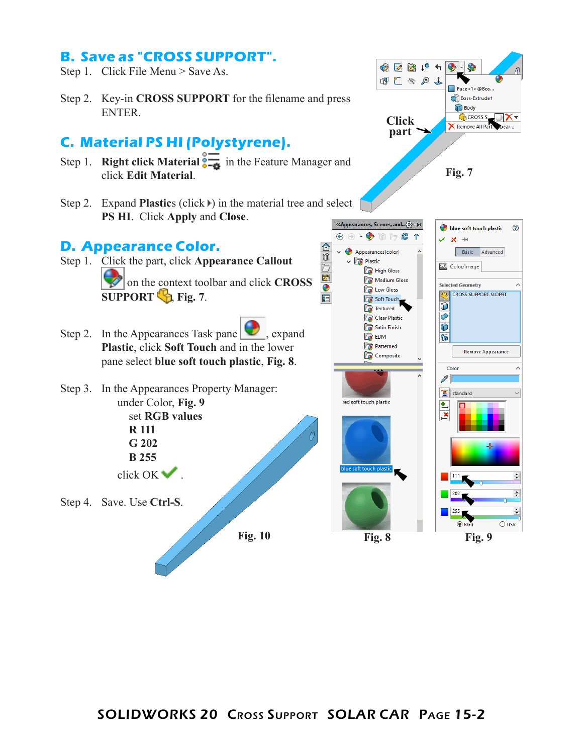## **B. Save as "CROSS SUPPORT".**

- Step 1. Click File Menu > Save As.
- Step 2. Key-in **CROSS SUPPORT** for the filename and press ENTER.

# **C. Material PS HI (Polystyrene).**

- Step 1. **Right click Material**  $\frac{1}{\sqrt{2}}$  in the Feature Manager and click **Edit Material**.
- Step 2. Expand **Plastic**s (click ) in the material tree and select **PS HI**. Click **Apply** and **Close**.

#### **D. Appearance Color.**

- Step 1. Click the part, click **Appearance Callout**  on the context toolbar and click **CROSS SUPPORT ,** Fig. 7.
- Step 2. In the Appearances Task pane , expand **Plastic**, click **Soft Touch** and in the lower pane select **blue soft touch plastic**, **Fig. 8**.
- Step 3. In the Appearances Property Manager: under Color, **Fig. 9** set **RGB values R 111**
	- **G 202 B 255** click OK .
- Step 4. Save. Use **Ctrl-S**.

**Fig. 10**



 $\div$  $\div$  $\div$  $O$  HSV

**Fig. 8 Fig. 9**

⋒

 $\circledR$ 

D

 $\boxed{\Xi}$ 

 $\bullet$ 

肩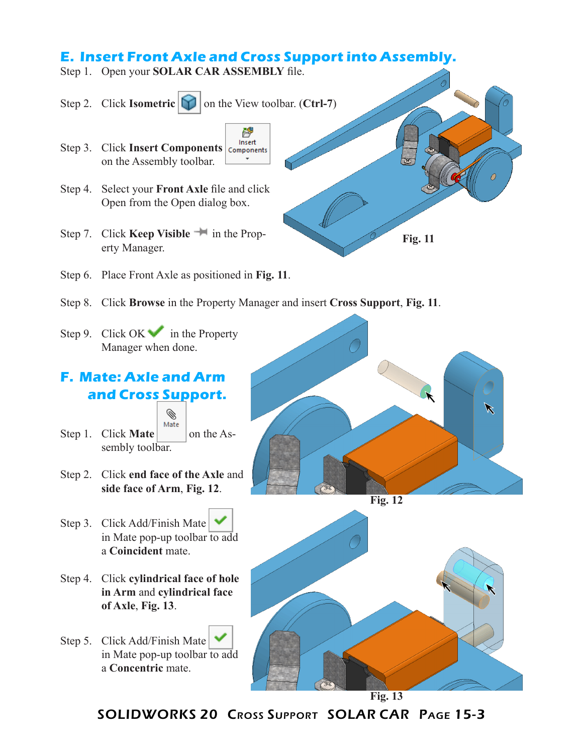## **E. Insert Front Axle and Cross Support into Assembly.**

啔

- Step 1. Open your **SOLAR CAR ASSEMBLY** file.
- Step 2. Click **Isometric [11]** on the View toolbar. (**Ctrl-7**)
- Insert Step 3. Click **Insert Components Components** on the Assembly toolbar.
- Step 4. Select your **Front Axle** file and click Open from the Open dialog box.
- Step 7. Click **Keep Visible** <sup>in</sup> in the Property Manager.
- Step 6. Place Front Axle as positioned in **Fig. 11**.
- Step 8. Click **Browse** in the Property Manager and insert **Cross Support**, **Fig. 11**.
- Step 9. Click OK in the Property Manager when done.

### **F. Mate: Axle and Arm and Cross Support.**



- Step 1. Click **Mate** on the Assembly toolbar.
- Step 2. Click **end face of the Axle** and **side face of Arm**, **Fig. 12**.
- Step 3. Click Add/Finish Mate in Mate pop-up toolbar to add a **Coincident** mate.
- Step 4. Click **cylindrical face of hole in Arm** and **cylindrical face of Axle**, **Fig. 13**.
- Step 5. Click Add/Finish Mate in Mate pop-up toolbar to add a **Concentric** mate.



**Fig. 11**





SOLIDWORKS 20 Cross Support SOLAR CAR Page 15-3